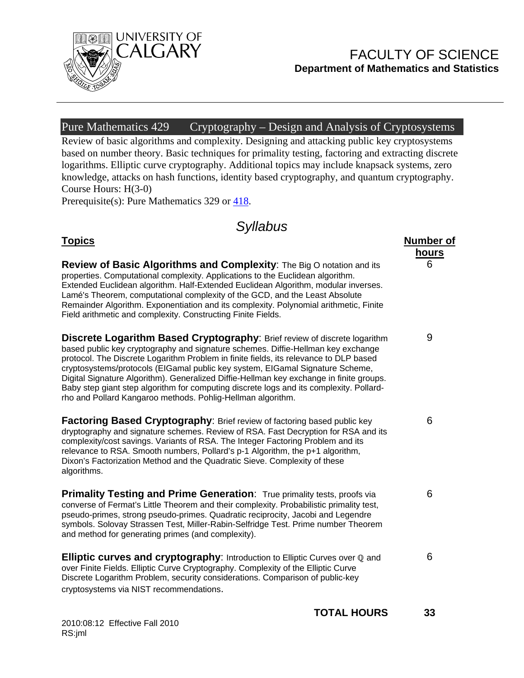

## FACULTY OF SCIENCE **Department of Mathematics and Statistics**

**hours**

6

9

6

6

6

### Pure Mathematics  $\overline{429}$  Cryptography – Design and Analysis of Cryptosystems

Review of basic algorithms and complexity. Designing and attacking public key cryptosystems based on number theory. Basic techniques for primality testing, factoring and extracting discrete logarithms. Elliptic curve cryptography. Additional topics may include knapsack systems, zero knowledge, attacks on hash functions, identity based cryptography, and quantum cryptography. Course Hours: H(3-0)

Prerequisite(s): Pure Mathematics 329 or 418.

# *Syllabus*

### **Topics** Number of **Number of**  $\blacksquare$

**Review of Basic Algorithms and Complexity**: The Big O notation and its properties. Computational complexity. Applications to the Euclidean algorithm. Extended Euclidean algorithm. Half-Extended Euclidean Algorithm, modular inverses. Lamé's Theorem, computational complexity of the GCD, and the Least Absolute Remainder Algorithm. Exponentiation and its complexity. Polynomial arithmetic, Finite Field arithmetic and complexity. Constructing Finite Fields.

**Discrete Logarithm Based Cryptography:** Brief review of discrete logarithm based public key cryptography and signature schemes. Diffie-Hellman key exchange protocol. The Discrete Logarithm Problem in finite fields, its relevance to DLP based cryptosystems/protocols (EIGamal public key system, EIGamal Signature Scheme, Digital Signature Algorithm). Generalized Diffie-Hellman key exchange in finite groups. Baby step giant step algorithm for computing discrete logs and its complexity. Pollardrho and Pollard Kangaroo methods. Pohlig-Hellman algorithm.

**Factoring Based Cryptography:** Brief review of factoring based public key dryptography and signature schemes. Review of RSA. Fast Decryption for RSA and its complexity/cost savings. Variants of RSA. The Integer Factoring Problem and its relevance to RSA. Smooth numbers, Pollard's p-1 Algorithm, the p+1 algorithm, Dixon's Factorization Method and the Quadratic Sieve. Complexity of these algorithms.

**Primality Testing and Prime Generation:** True primality tests, proofs via converse of Fermat's Little Theorem and their complexity. Probabilistic primality test, pseudo-primes, strong pseudo-primes. Quadratic reciprocity, Jacobi and Legendre symbols. Solovay Strassen Test, Miller-Rabin-Selfridge Test. Prime number Theorem and method for generating primes (and complexity).

**Elliptic curves and cryptography:** Introduction to Elliptic Curves over  $\mathbb{Q}$  and over Finite Fields. Elliptic Curve Cryptography. Complexity of the Elliptic Curve Discrete Logarithm Problem, security considerations. Comparison of public-key cryptosystems via NIST recommendations.

2010:08:12 Effective Fall 2010 RS:jml